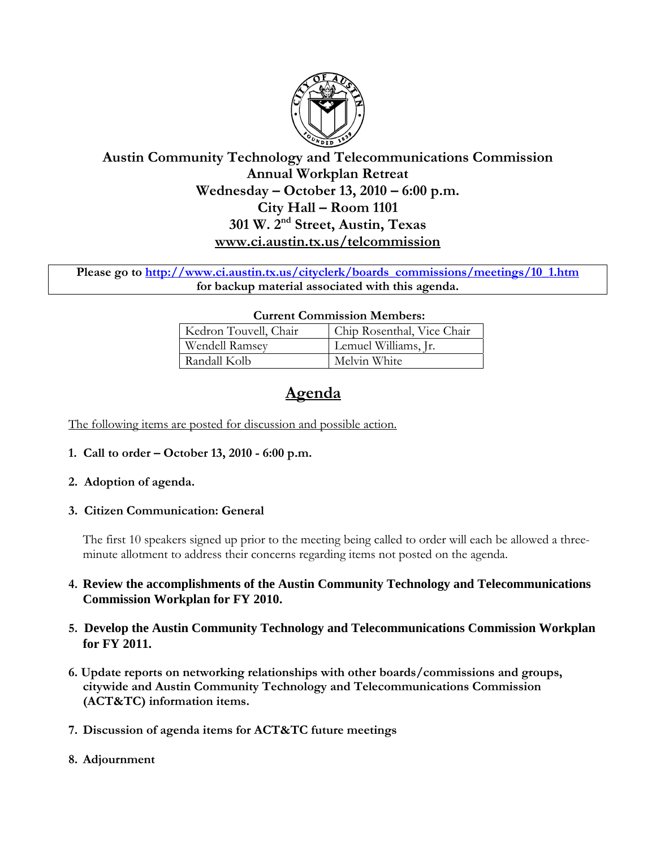

## **Austin Community Technology and Telecommunications Commission Annual Workplan Retreat Wednesday – October 13, 2010 – 6:00 p.m. City Hall – Room 1101 301 W. 2nd Street, Austin, Texas www.ci.austin.tx.us/telcommission**

**Please go to http://www.ci.austin.tx.us/cityclerk/boards\_commissions/meetings/10\_1.htm for backup material associated with this agenda.** 

#### **Current Commission Members:**

| Kedron Touvell, Chair | Chip Rosenthal, Vice Chair |
|-----------------------|----------------------------|
| Wendell Ramsey        | Lemuel Williams, Jr.       |
| Randall Kolb          | Melvin White               |

# **Agenda**

The following items are posted for discussion and possible action.

**1. Call to order – October 13, 2010 - 6:00 p.m.** 

#### **2. Adoption of agenda.**

#### **3. Citizen Communication: General**

The first 10 speakers signed up prior to the meeting being called to order will each be allowed a threeminute allotment to address their concerns regarding items not posted on the agenda.

### **4. Review the accomplishments of the Austin Community Technology and Telecommunications Commission Workplan for FY 2010.**

- **5. Develop the Austin Community Technology and Telecommunications Commission Workplan for FY 2011.**
- **6. Update reports on networking relationships with other boards/commissions and groups, citywide and Austin Community Technology and Telecommunications Commission (ACT&TC) information items.**
- **7. Discussion of agenda items for ACT&TC future meetings**
- **8. Adjournment**